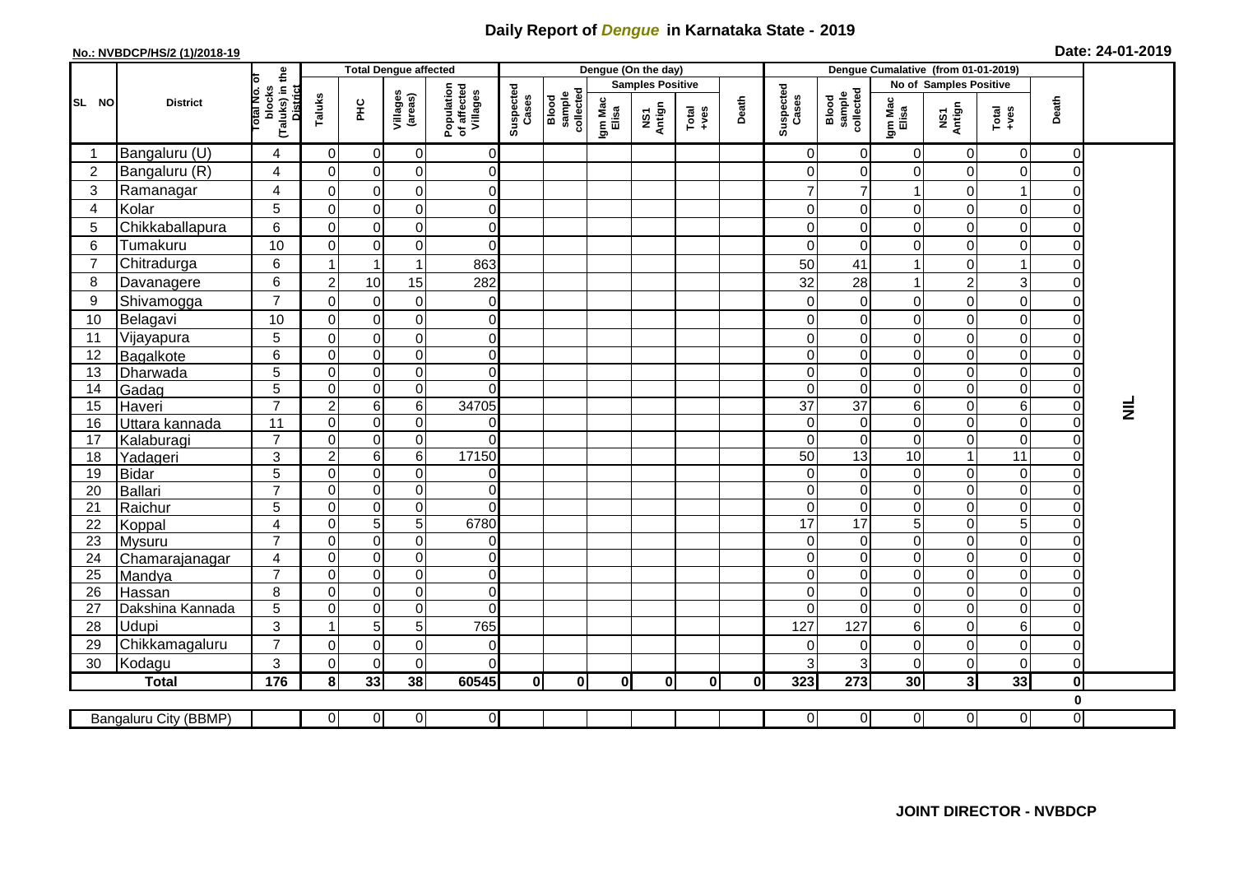## **Daily Report of** *Dengue* **in Karnataka State - 2019**

## **No.: NVBDCP/HS/2 (1)/2018-19 Date: 24-01-2019**

|                | <b>District</b>          |                                                   | <b>Total Dengue affected</b> |                               |                               |                                       | Dengue (On the day) |                              |                         |               |                 |       |                      | Dengue Cumalative (from 01-01-2019) |                        |                          |                                                              |                |                 |  |
|----------------|--------------------------|---------------------------------------------------|------------------------------|-------------------------------|-------------------------------|---------------------------------------|---------------------|------------------------------|-------------------------|---------------|-----------------|-------|----------------------|-------------------------------------|------------------------|--------------------------|--------------------------------------------------------------|----------------|-----------------|--|
|                |                          | ৳                                                 |                              |                               |                               |                                       |                     |                              | <b>Samples Positive</b> |               |                 |       |                      |                                     | No of Samples Positive |                          |                                                              |                |                 |  |
| SL NO          |                          | (Taluks) in the<br>District<br>blocks<br>otal No. | Taluks                       | ΞÉ                            | Villages<br>(areas)           | Population<br>of affected<br>Villages | Suspected<br>Cases  | sample<br>collected<br>Blood | Igm Mac<br>Elisa        | NS1<br>Antign | Total<br>$+ves$ | Death | Suspected<br>Cases   | Blood<br>sample<br>collected        | Igm Mac<br>Elisa       | NS1<br>Antign            | $\begin{array}{c}\n\text{Total} \\ \text{+ves}\n\end{array}$ | Death          |                 |  |
| -1             | Bangaluru (U)            | 4                                                 | 0                            | $\mathbf 0$                   | 0                             | $\overline{0}$                        |                     |                              |                         |               |                 |       | $\Omega$             | $\overline{0}$                      | 0                      | $\mathbf 0$              | $\overline{0}$                                               | $\mathbf 0$    |                 |  |
| $\overline{2}$ | Bangaluru (R)            | 4                                                 | $\mathbf 0$                  | $\mathbf 0$                   | $\mathbf 0$                   | $\overline{0}$                        |                     |                              |                         |               |                 |       | $\Omega$             | $\Omega$                            | $\overline{0}$         | $\mathbf 0$              | $\pmb{0}$                                                    | $\Omega$       |                 |  |
| 3              | Ramanagar                | 4                                                 | $\Omega$                     | $\mathbf 0$                   | $\mathbf 0$                   | $\overline{0}$                        |                     |                              |                         |               |                 |       |                      |                                     |                        | $\mathbf 0$              | $\overline{1}$                                               | U              |                 |  |
| 4              | Kolar                    | 5                                                 | $\mathbf 0$                  | $\mathbf 0$                   | $\mathbf 0$                   | $\overline{0}$                        |                     |                              |                         |               |                 |       | $\Omega$             | $\Omega$                            | $\overline{0}$         | $\pmb{0}$                | $\pmb{0}$                                                    | $\Omega$       |                 |  |
| 5              | Chikkaballapura          | 6                                                 | $\mathbf 0$                  | $\mathbf 0$                   | $\mathbf 0$                   | $\overline{0}$                        |                     |                              |                         |               |                 |       | $\Omega$             | 0                                   | $\mathbf 0$            | $\pmb{0}$                | $\mathsf 0$                                                  | 0              |                 |  |
| 6              | Tumakuru                 | 10                                                | $\mathbf 0$                  | $\mathbf 0$                   | $\mathbf 0$                   | $\overline{0}$                        |                     |                              |                         |               |                 |       | $\Omega$             | $\mathbf 0$                         | $\mathbf 0$            | $\pmb{0}$                | $\mathbf 0$                                                  | 0              |                 |  |
| $\overline{7}$ | Chitradurga              | $6\phantom{a}$                                    | $\overline{1}$               | $\overline{1}$                | $\overline{1}$                | 863                                   |                     |                              |                         |               |                 |       | 50                   | 41                                  | 1                      | $\mathbf 0$              | $\overline{1}$                                               | $\Omega$       |                 |  |
| 8              | Davanagere               | 6                                                 | $\boldsymbol{2}$             | 10                            | 15                            | 282                                   |                     |                              |                         |               |                 |       | 32                   | 28                                  | 1                      | $\boldsymbol{2}$         | $\overline{3}$                                               | $\Omega$       |                 |  |
| 9              | Shivamogga               | $\overline{7}$                                    | $\mathbf 0$                  | $\mathbf 0$                   | 0                             | $\overline{0}$                        |                     |                              |                         |               |                 |       | $\Omega$             | $\overline{0}$                      | $\pmb{0}$              | $\pmb{0}$                | $\mathsf 0$                                                  | 0              |                 |  |
| 10             | Belagavi                 | 10                                                | $\mathbf 0$                  | $\mathbf 0$                   | $\mathsf 0$                   | $\overline{0}$                        |                     |                              |                         |               |                 |       | $\Omega$             | $\overline{0}$                      | $\mathsf{O}\xspace$    | $\pmb{0}$                | $\mathsf 0$                                                  | $\Omega$       |                 |  |
| 11             | Vijayapura               | 5                                                 | $\mathbf 0$                  | $\mathbf 0$                   | $\mathbf 0$                   | $\overline{0}$                        |                     |                              |                         |               |                 |       | $\Omega$             | $\mathbf 0$                         | $\mathbf 0$            | $\mathbf 0$              | $\mathbf 0$                                                  | $\Omega$       |                 |  |
| 12             | Bagalkote                | 6                                                 | 0                            | $\pmb{0}$                     | $\mathsf 0$                   | $\overline{0}$                        |                     |                              |                         |               |                 |       | $\Omega$             | $\overline{0}$                      | $\mathbf 0$            | $\boldsymbol{0}$         | $\overline{0}$                                               | $\Omega$       |                 |  |
| 13             | Dharwada                 | $\overline{5}$                                    | $\mathbf 0$                  | $\boldsymbol{0}$              | $\overline{0}$                | $\overline{0}$                        |                     |                              |                         |               |                 |       | $\Omega$             | $\mathbf 0$                         | $\mathbf 0$            | $\pmb{0}$                | $\overline{0}$                                               | $\Omega$       |                 |  |
| 14             | Gadag                    | 5                                                 | $\overline{0}$               | $\boldsymbol{0}$              | $\overline{0}$                | $\Omega$                              |                     |                              |                         |               |                 |       | $\Omega$             | $\Omega$                            | $\overline{0}$         | $\pmb{0}$                | $\mathsf 0$                                                  | $\Omega$       |                 |  |
| 15             | Haveri                   | $\overline{7}$                                    | $\overline{c}$               | $\,6$                         | 6                             | 34705                                 |                     |                              |                         |               |                 |       | 37                   | $\overline{37}$                     | 6                      | $\mathbf 0$              | 6                                                            | $\overline{0}$ | $\bar{\bar{z}}$ |  |
| 16             | Uttara kannada           | 11                                                | $\mathbf 0$                  | $\boldsymbol{0}$              | $\mathsf 0$                   | $\mathbf 0$                           |                     |                              |                         |               |                 |       | $\Omega$             | $\pmb{0}$                           | $\mathsf{O}\xspace$    | $\pmb{0}$                | $\overline{0}$                                               | $\mathbf 0$    |                 |  |
| 17             | Kalaburagi               | $\overline{7}$                                    | $\mathbf 0$                  | $\boldsymbol{0}$              | $\mathsf 0$                   | $\mathbf 0$                           |                     |                              |                         |               |                 |       | $\Omega$             | $\pmb{0}$                           | 0                      | $\pmb{0}$                | $\pmb{0}$                                                    | $\Omega$       |                 |  |
| 18             | Yadageri                 | 3                                                 | $\overline{c}$               | $\,6$                         | 6                             | 17150                                 |                     |                              |                         |               |                 |       | 50                   | 13                                  | 10                     | $\overline{1}$           | $\overline{11}$                                              | $\Omega$       |                 |  |
| 19             | <b>Bidar</b>             | $\overline{5}$                                    | $\overline{0}$               | $\overline{0}$                | $\overline{0}$                | $\overline{0}$                        |                     |                              |                         |               |                 |       | $\Omega$             | $\overline{0}$                      | 0                      | $\overline{0}$           | $\overline{0}$                                               | $\Omega$       |                 |  |
| 20             | <b>Ballari</b>           | $\overline{7}$                                    | $\mathbf 0$                  | $\pmb{0}$                     | $\overline{0}$                | $\overline{0}$                        |                     |                              |                         |               |                 |       | $\Omega$             | $\overline{0}$                      | $\pmb{0}$              | $\boldsymbol{0}$         | $\overline{0}$                                               | $\Omega$       |                 |  |
| 21             | Raichur                  | $\overline{5}$                                    | $\Omega$                     | $\mathbf 0$                   | $\overline{0}$                | $\Omega$                              |                     |                              |                         |               |                 |       | $\Omega$             | $\Omega$                            | $\Omega$               | $\mathbf 0$              | $\pmb{0}$                                                    | 0              |                 |  |
| 22             | Koppal                   | $\overline{4}$                                    | $\mathbf 0$                  | 5                             | 5                             | 6780                                  |                     |                              |                         |               |                 |       | 17                   | 17                                  | 5                      | $\pmb{0}$                | $\mathbf 5$                                                  | 0<br>$\Omega$  |                 |  |
| 23             | Mysuru                   | $\overline{7}$                                    | $\mathbf 0$<br>$\Omega$      | $\boldsymbol{0}$              | $\overline{0}$<br>$\mathsf 0$ | $\overline{0}$                        |                     |                              |                         |               |                 |       | $\Omega$<br>$\Omega$ | $\mathbf 0$<br>$\Omega$             | $\mathbf 0$            | $\mathbf 0$              | $\overline{0}$                                               | $\Omega$       |                 |  |
| 24<br>25       | Chamarajanagar<br>Mandya | $\overline{4}$<br>$\overline{7}$                  | $\mathbf 0$                  | $\pmb{0}$<br>$\boldsymbol{0}$ | 0                             | $\overline{0}$<br>$\overline{0}$      |                     |                              |                         |               |                 |       | $\Omega$             | $\mathbf 0$                         | 0<br>0                 | $\pmb{0}$<br>$\mathbf 0$ | $\pmb{0}$<br>$\pmb{0}$                                       | 0              |                 |  |
| 26             | Hassan                   | 8                                                 | $\mathbf 0$                  | $\boldsymbol{0}$              | $\mathsf 0$                   | $\overline{0}$                        |                     |                              |                         |               |                 |       | $\Omega$             | $\mathbf 0$                         | $\pmb{0}$              | $\mathbf 0$              | $\overline{0}$                                               | $\Omega$       |                 |  |
| 27             | Dakshina Kannada         | 5                                                 | $\mathbf 0$                  | $\pmb{0}$                     | $\overline{0}$                | $\overline{0}$                        |                     |                              |                         |               |                 |       | $\Omega$             | $\mathbf 0$                         | $\pmb{0}$              | $\boldsymbol{0}$         | $\overline{0}$                                               | $\Omega$       |                 |  |
| 28             | Udupi                    | 3                                                 |                              | 5                             | 5                             | 765                                   |                     |                              |                         |               |                 |       | 127                  | 127                                 | 6                      | $\Omega$                 | $6\phantom{1}6$                                              |                |                 |  |
| 29             | Chikkamagaluru           | $\overline{7}$                                    | $\Omega$                     | $\mathbf 0$                   | 0                             | 0                                     |                     |                              |                         |               |                 |       | $\Omega$             | $\Omega$                            | $\Omega$               | $\mathbf 0$              | $\mathbf 0$                                                  | $\Omega$       |                 |  |
| 30             | Kodagu                   | 3                                                 | $\Omega$                     | $\mathbf 0$                   | $\mathbf 0$                   | $\Omega$                              |                     |                              |                         |               |                 |       |                      | 3 <sup>1</sup>                      | $\overline{0}$         | $\pmb{0}$                | $\overline{0}$                                               | $\mathbf 0$    |                 |  |
|                | <b>Total</b>             | $\frac{1}{176}$                                   | 8                            | 33                            | 38                            | 60545                                 | $\mathbf{0}$        | 0l                           | $\mathbf{0}$            | $\mathbf{0}$  | $\mathbf{0}$    | 01    | 323                  | 273                                 | 30                     | دى                       | 33                                                           | 0              |                 |  |
|                |                          |                                                   |                              |                               |                               |                                       |                     |                              |                         |               |                 |       |                      |                                     |                        |                          |                                                              | 0              |                 |  |
|                | Bangaluru City (BBMP)    |                                                   | $\mathbf 0$                  | $\overline{0}$                | $\overline{0}$                | $\overline{0}$                        |                     |                              |                         |               |                 |       | $\overline{0}$       | $\overline{0}$                      | $\overline{0}$         | $\overline{0}$           | $\overline{0}$                                               | $\overline{0}$ |                 |  |